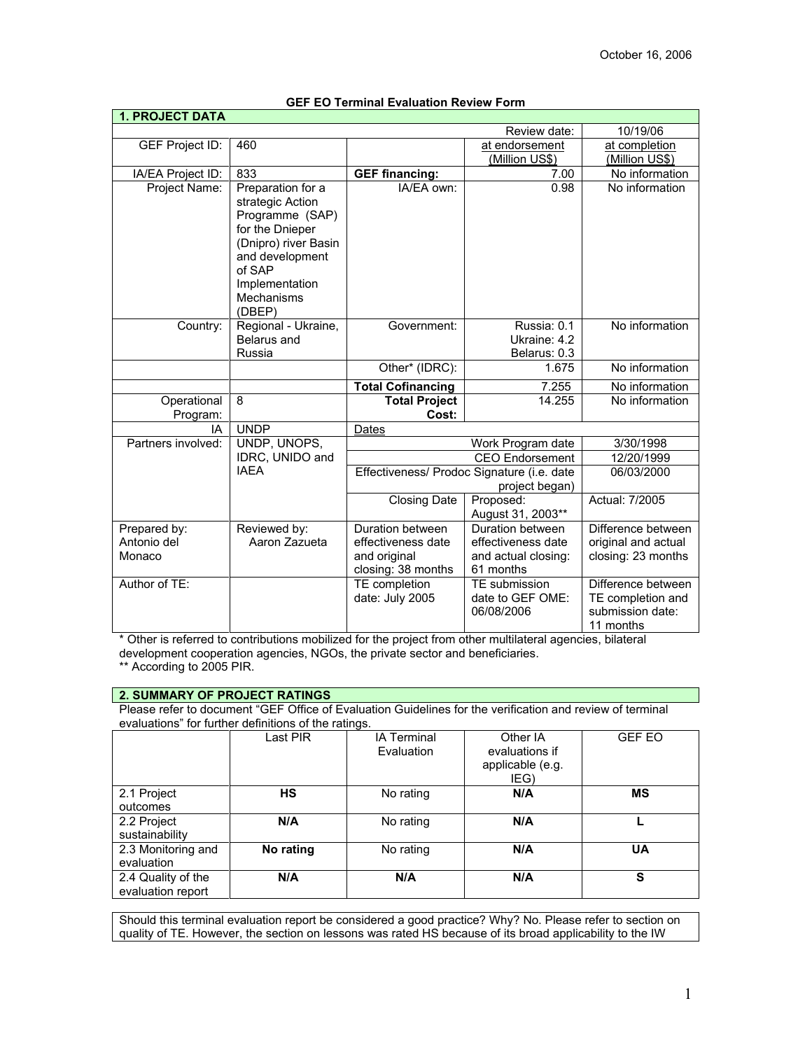| <b>1. PROJECT DATA</b> |                      |                                            |                        |                                       |
|------------------------|----------------------|--------------------------------------------|------------------------|---------------------------------------|
|                        |                      |                                            | Review date:           | 10/19/06                              |
| <b>GEF Project ID:</b> | 460                  | at endorsement                             |                        | at completion                         |
|                        |                      |                                            | (Million US\$)         | (Million US\$)                        |
| IA/EA Project ID:      | 833                  | <b>GEF financing:</b>                      | 7.00                   | No information                        |
| Project Name:          | Preparation for a    | IA/EA own:                                 | 0.98                   | No information                        |
|                        | strategic Action     |                                            |                        |                                       |
|                        | Programme (SAP)      |                                            |                        |                                       |
|                        | for the Dnieper      |                                            |                        |                                       |
|                        | (Dnipro) river Basin |                                            |                        |                                       |
|                        | and development      |                                            |                        |                                       |
|                        | of SAP               |                                            |                        |                                       |
|                        | Implementation       |                                            |                        |                                       |
|                        | Mechanisms           |                                            |                        |                                       |
|                        | (DBEP)               |                                            |                        |                                       |
| Country:               | Regional - Ukraine,  | Government:                                | Russia: 0.1            | No information                        |
|                        | <b>Belarus and</b>   |                                            | Ukraine: 4.2           |                                       |
|                        | Russia               |                                            | Belarus: 0.3           |                                       |
|                        |                      | Other* (IDRC):                             | 1.675                  | No information                        |
|                        |                      | <b>Total Cofinancing</b>                   | 7.255                  | No information                        |
| Operational            | 8                    | <b>Total Project</b>                       | 14.255                 | No information                        |
| Program:               |                      | Cost:                                      |                        |                                       |
| IA                     | <b>UNDP</b>          | Dates                                      | Work Program date      |                                       |
| Partners involved:     | UNDP, UNOPS,         |                                            | 3/30/1998              |                                       |
|                        | IDRC, UNIDO and      |                                            | <b>CEO</b> Endorsement | 12/20/1999                            |
|                        | <b>IAEA</b>          | Effectiveness/ Prodoc Signature (i.e. date | 06/03/2000             |                                       |
|                        |                      |                                            | project began)         |                                       |
|                        |                      | <b>Closing Date</b>                        | Proposed:              | Actual: 7/2005                        |
|                        |                      |                                            | August 31, 2003**      |                                       |
| Prepared by:           | Reviewed by:         | Duration between                           | Duration between       | Difference between                    |
| Antonio del            | Aaron Zazueta        | effectiveness date                         | effectiveness date     | original and actual                   |
| Monaco                 |                      | and original                               | and actual closing:    | closing: 23 months                    |
|                        |                      | closing: 38 months                         | 61 months              |                                       |
| Author of TE:          |                      | TE completion                              | TE submission          | Difference between                    |
|                        |                      | date: July 2005                            | date to GEF OME:       | TE completion and<br>submission date: |
|                        |                      |                                            | 06/08/2006             |                                       |
|                        |                      |                                            |                        | 11 months                             |

# **GEF EO Terminal Evaluation Review Form**

\* Other is referred to contributions mobilized for the project from other multilateral agencies, bilateral development cooperation agencies, NGOs, the private sector and beneficiaries.

\*\* According to 2005 PIR.

# **2. SUMMARY OF PROJECT RATINGS**

Please refer to document "GEF Office of Evaluation Guidelines for the verification and review of terminal evaluations" for further definitions of the ratings.

|                                         | Last PIR  | <b>IA Terminal</b><br>Evaluation | Other IA<br>evaluations if<br>applicable (e.g.<br>IEG) | <b>GEF EO</b> |
|-----------------------------------------|-----------|----------------------------------|--------------------------------------------------------|---------------|
| 2.1 Project<br>outcomes                 | <b>HS</b> | No rating                        | N/A                                                    | <b>MS</b>     |
| 2.2 Project<br>sustainability           | N/A       | No rating                        | N/A                                                    |               |
| 2.3 Monitoring and<br>evaluation        | No rating | No rating                        | N/A                                                    | UA            |
| 2.4 Quality of the<br>evaluation report | N/A       | N/A                              | N/A                                                    | S             |

Should this terminal evaluation report be considered a good practice? Why? No. Please refer to section on quality of TE. However, the section on lessons was rated HS because of its broad applicability to the IW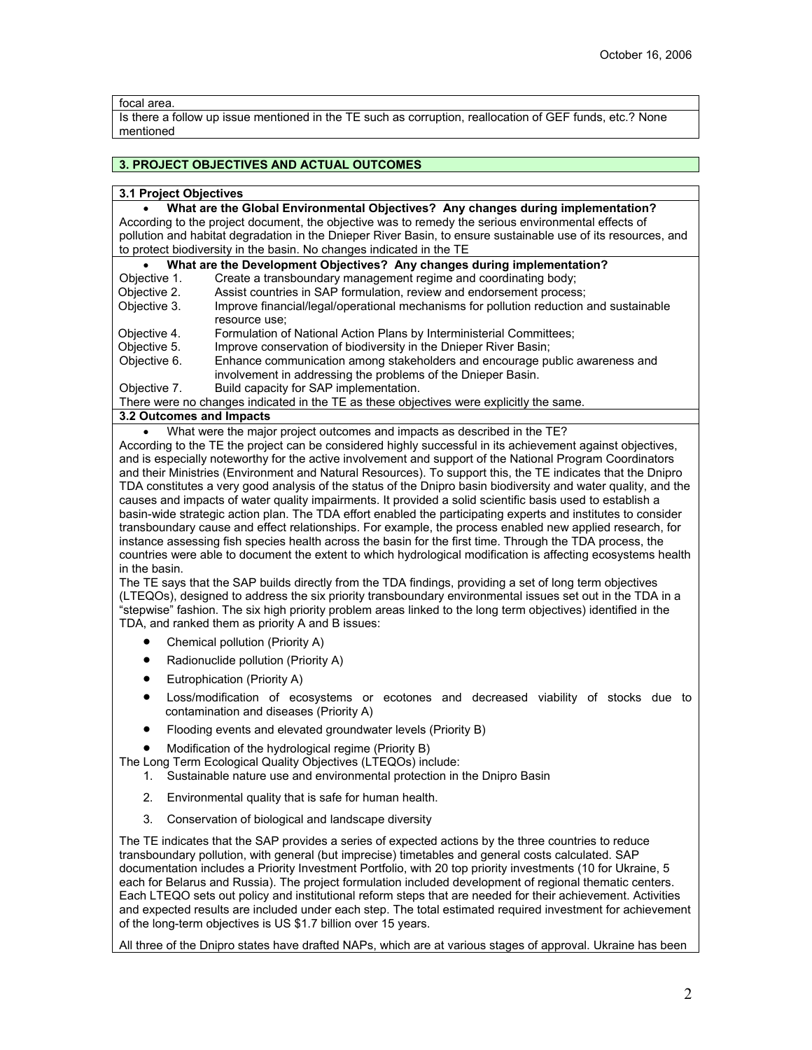### focal area.

Is there a follow up issue mentioned in the TE such as corruption, reallocation of GEF funds, etc.? None mentioned

### **3. PROJECT OBJECTIVES AND ACTUAL OUTCOMES**

### **3.1 Project Objectives**

• **What are the Global Environmental Objectives? Any changes during implementation?** According to the project document, the objective was to remedy the serious environmental effects of pollution and habitat degradation in the Dnieper River Basin, to ensure sustainable use of its resources, and to protect biodiversity in the basin. No changes indicated in the TE

• **What are the Development Objectives? Any changes during implementation?**<br>Objective 1. Create a transboundary management regime and coordinating body;

- Objective 1. Create a transboundary management regime and coordinating body;<br>Objective 2. Assist countries in SAP formulation, review and endorsement process
- Objective 2. Assist countries in SAP formulation, review and endorsement process;<br>Objective 3. Improve financial/legal/operational mechanisms for pollution reduction
- Improve financial/legal/operational mechanisms for pollution reduction and sustainable resource use;
- Objective 4. Formulation of National Action Plans by Interministerial Committees;<br>Objective 5. Improve conservation of biodiversity in the Dnieper River Basin:
- Objective 5. Improve conservation of biodiversity in the Dnieper River Basin;<br>Objective 6. Enhance communication among stakeholders and encourage pu
- Enhance communication among stakeholders and encourage public awareness and involvement in addressing the problems of the Dnieper Basin.
- Objective 7. Build capacity for SAP implementation.

There were no changes indicated in the TE as these objectives were explicitly the same.

**3.2 Outcomes and Impacts**

What were the major project outcomes and impacts as described in the TE?

According to the TE the project can be considered highly successful in its achievement against objectives, and is especially noteworthy for the active involvement and support of the National Program Coordinators and their Ministries (Environment and Natural Resources). To support this, the TE indicates that the Dnipro TDA constitutes a very good analysis of the status of the Dnipro basin biodiversity and water quality, and the causes and impacts of water quality impairments. It provided a solid scientific basis used to establish a basin-wide strategic action plan. The TDA effort enabled the participating experts and institutes to consider transboundary cause and effect relationships. For example, the process enabled new applied research, for instance assessing fish species health across the basin for the first time. Through the TDA process, the countries were able to document the extent to which hydrological modification is affecting ecosystems health in the basin.

The TE says that the SAP builds directly from the TDA findings, providing a set of long term objectives (LTEQOs), designed to address the six priority transboundary environmental issues set out in the TDA in a "stepwise" fashion. The six high priority problem areas linked to the long term objectives) identified in the TDA, and ranked them as priority A and B issues:

- Chemical pollution (Priority A)
- Radionuclide pollution (Priority A)
- Eutrophication (Priority A)
- Loss/modification of ecosystems or ecotones and decreased viability of stocks due to contamination and diseases (Priority A)
- Flooding events and elevated groundwater levels (Priority B)

• Modification of the hydrological regime (Priority B)

The Long Term Ecological Quality Objectives (LTEQOs) include:

- 1. Sustainable nature use and environmental protection in the Dnipro Basin
- 2. Environmental quality that is safe for human health.
- 3. Conservation of biological and landscape diversity

The TE indicates that the SAP provides a series of expected actions by the three countries to reduce transboundary pollution, with general (but imprecise) timetables and general costs calculated. SAP documentation includes a Priority Investment Portfolio, with 20 top priority investments (10 for Ukraine, 5 each for Belarus and Russia). The project formulation included development of regional thematic centers. Each LTEQO sets out policy and institutional reform steps that are needed for their achievement. Activities and expected results are included under each step. The total estimated required investment for achievement of the long-term objectives is US \$1.7 billion over 15 years.

All three of the Dnipro states have drafted NAPs, which are at various stages of approval. Ukraine has been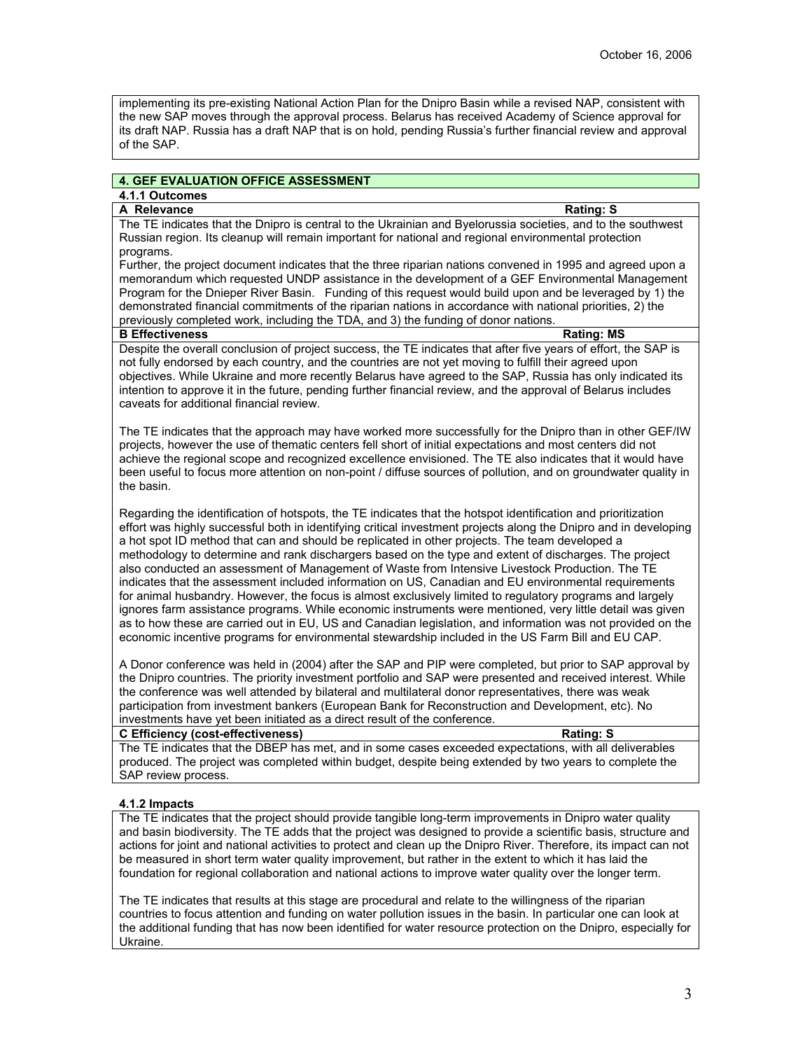implementing its pre-existing National Action Plan for the Dnipro Basin while a revised NAP, consistent with the new SAP moves through the approval process. Belarus has received Academy of Science approval for its draft NAP. Russia has a draft NAP that is on hold, pending Russia's further financial review and approval of the SAP.

### **4. GEF EVALUATION OFFICE ASSESSMENT**

# **4.1.1 Outcomes**

# A Relevance Rating: S

The TE indicates that the Dnipro is central to the Ukrainian and Byelorussia societies, and to the southwest Russian region. Its cleanup will remain important for national and regional environmental protection programs.

Further, the project document indicates that the three riparian nations convened in 1995 and agreed upon a memorandum which requested UNDP assistance in the development of a GEF Environmental Management Program for the Dnieper River Basin. Funding of this request would build upon and be leveraged by 1) the demonstrated financial commitments of the riparian nations in accordance with national priorities, 2) the previously completed work, including the TDA, and 3) the funding of donor nations.

### **B Effectiveness** Rating: MS

Despite the overall conclusion of project success, the TE indicates that after five years of effort, the SAP is not fully endorsed by each country, and the countries are not yet moving to fulfill their agreed upon objectives. While Ukraine and more recently Belarus have agreed to the SAP, Russia has only indicated its intention to approve it in the future, pending further financial review, and the approval of Belarus includes caveats for additional financial review.

The TE indicates that the approach may have worked more successfully for the Dnipro than in other GEF/IW projects, however the use of thematic centers fell short of initial expectations and most centers did not achieve the regional scope and recognized excellence envisioned. The TE also indicates that it would have been useful to focus more attention on non-point / diffuse sources of pollution, and on groundwater quality in the basin.

Regarding the identification of hotspots, the TE indicates that the hotspot identification and prioritization effort was highly successful both in identifying critical investment projects along the Dnipro and in developing a hot spot ID method that can and should be replicated in other projects. The team developed a methodology to determine and rank dischargers based on the type and extent of discharges. The project also conducted an assessment of Management of Waste from Intensive Livestock Production. The TE indicates that the assessment included information on US, Canadian and EU environmental requirements for animal husbandry. However, the focus is almost exclusively limited to regulatory programs and largely ignores farm assistance programs. While economic instruments were mentioned, very little detail was given as to how these are carried out in EU, US and Canadian legislation, and information was not provided on the economic incentive programs for environmental stewardship included in the US Farm Bill and EU CAP.

A Donor conference was held in (2004) after the SAP and PIP were completed, but prior to SAP approval by the Dnipro countries. The priority investment portfolio and SAP were presented and received interest. While the conference was well attended by bilateral and multilateral donor representatives, there was weak participation from investment bankers (European Bank for Reconstruction and Development, etc). No investments have yet been initiated as a direct result of the conference.

### **C** Efficiency (cost-effectiveness) **Rating: Rating: S**

The TE indicates that the DBEP has met, and in some cases exceeded expectations, with all deliverables produced. The project was completed within budget, despite being extended by two years to complete the SAP review process.

## **4.1.2 Impacts**

The TE indicates that the project should provide tangible long-term improvements in Dnipro water quality and basin biodiversity. The TE adds that the project was designed to provide a scientific basis, structure and actions for joint and national activities to protect and clean up the Dnipro River. Therefore, its impact can not be measured in short term water quality improvement, but rather in the extent to which it has laid the foundation for regional collaboration and national actions to improve water quality over the longer term.

The TE indicates that results at this stage are procedural and relate to the willingness of the riparian countries to focus attention and funding on water pollution issues in the basin. In particular one can look at the additional funding that has now been identified for water resource protection on the Dnipro, especially for Ukraine.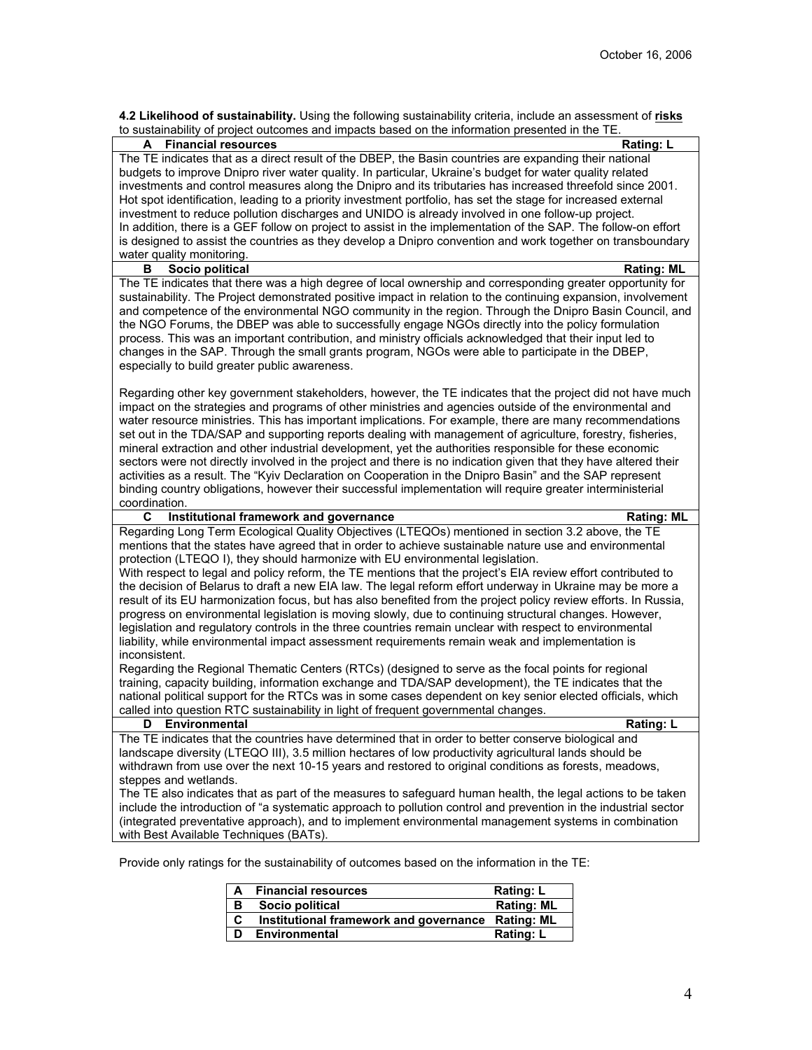| 4.2 Likelihood of sustainability. Using the following sustainability criteria, include an assessment of risks |  |  |  |  |  |  |  |
|---------------------------------------------------------------------------------------------------------------|--|--|--|--|--|--|--|
| to sustainability of project outcomes and impacts based on the information presented in the TE.               |  |  |  |  |  |  |  |

| <b>Financial resources</b><br><b>Rating: L</b><br>A<br>The TE indicates that as a direct result of the DBEP, the Basin countries are expanding their national<br>budgets to improve Dnipro river water quality. In particular, Ukraine's budget for water quality related<br>investments and control measures along the Dnipro and its tributaries has increased threefold since 2001.<br>Hot spot identification, leading to a priority investment portfolio, has set the stage for increased external<br>investment to reduce pollution discharges and UNIDO is already involved in one follow-up project.<br>In addition, there is a GEF follow on project to assist in the implementation of the SAP. The follow-on effort<br>is designed to assist the countries as they develop a Dnipro convention and work together on transboundary<br>water quality monitoring.<br>Socio political<br>В<br><b>Rating: ML</b><br>The TE indicates that there was a high degree of local ownership and corresponding greater opportunity for<br>sustainability. The Project demonstrated positive impact in relation to the continuing expansion, involvement<br>and competence of the environmental NGO community in the region. Through the Dnipro Basin Council, and<br>the NGO Forums, the DBEP was able to successfully engage NGOs directly into the policy formulation<br>process. This was an important contribution, and ministry officials acknowledged that their input led to<br>changes in the SAP. Through the small grants program, NGOs were able to participate in the DBEP,<br>especially to build greater public awareness.<br>Regarding other key government stakeholders, however, the TE indicates that the project did not have much<br>impact on the strategies and programs of other ministries and agencies outside of the environmental and<br>water resource ministries. This has important implications. For example, there are many recommendations<br>set out in the TDA/SAP and supporting reports dealing with management of agriculture, forestry, fisheries,<br>mineral extraction and other industrial development, yet the authorities responsible for these economic<br>sectors were not directly involved in the project and there is no indication given that they have altered their<br>activities as a result. The "Kyiv Declaration on Cooperation in the Dnipro Basin" and the SAP represent<br>binding country obligations, however their successful implementation will require greater interministerial<br>coordination.<br>C<br>Institutional framework and governance<br><b>Rating: ML</b><br>Regarding Long Term Ecological Quality Objectives (LTEQOs) mentioned in section 3.2 above, the TE<br>mentions that the states have agreed that in order to achieve sustainable nature use and environmental<br>protection (LTEQO I), they should harmonize with EU environmental legislation.<br>With respect to legal and policy reform, the TE mentions that the project's EIA review effort contributed to<br>the decision of Belarus to draft a new EIA law. The legal reform effort underway in Ukraine may be more a<br>result of its EU harmonization focus, but has also benefited from the project policy review efforts. In Russia,<br>progress on environmental legislation is moving slowly, due to continuing structural changes. However,<br>legislation and regulatory controls in the three countries remain unclear with respect to environmental |
|-----------------------------------------------------------------------------------------------------------------------------------------------------------------------------------------------------------------------------------------------------------------------------------------------------------------------------------------------------------------------------------------------------------------------------------------------------------------------------------------------------------------------------------------------------------------------------------------------------------------------------------------------------------------------------------------------------------------------------------------------------------------------------------------------------------------------------------------------------------------------------------------------------------------------------------------------------------------------------------------------------------------------------------------------------------------------------------------------------------------------------------------------------------------------------------------------------------------------------------------------------------------------------------------------------------------------------------------------------------------------------------------------------------------------------------------------------------------------------------------------------------------------------------------------------------------------------------------------------------------------------------------------------------------------------------------------------------------------------------------------------------------------------------------------------------------------------------------------------------------------------------------------------------------------------------------------------------------------------------------------------------------------------------------------------------------------------------------------------------------------------------------------------------------------------------------------------------------------------------------------------------------------------------------------------------------------------------------------------------------------------------------------------------------------------------------------------------------------------------------------------------------------------------------------------------------------------------------------------------------------------------------------------------------------------------------------------------------------------------------------------------------------------------------------------------------------------------------------------------------------------------------------------------------------------------------------------------------------------------------------------------------------------------------------------------------------------------------------------------------------------------------------------------------------------------------------------------------------------------------------------------------------------------------------------------------------------------------------------------------------------------------------------------------------------------------------------------------------------------------------------------|
|                                                                                                                                                                                                                                                                                                                                                                                                                                                                                                                                                                                                                                                                                                                                                                                                                                                                                                                                                                                                                                                                                                                                                                                                                                                                                                                                                                                                                                                                                                                                                                                                                                                                                                                                                                                                                                                                                                                                                                                                                                                                                                                                                                                                                                                                                                                                                                                                                                                                                                                                                                                                                                                                                                                                                                                                                                                                                                                                                                                                                                                                                                                                                                                                                                                                                                                                                                                                                                                                                                           |
|                                                                                                                                                                                                                                                                                                                                                                                                                                                                                                                                                                                                                                                                                                                                                                                                                                                                                                                                                                                                                                                                                                                                                                                                                                                                                                                                                                                                                                                                                                                                                                                                                                                                                                                                                                                                                                                                                                                                                                                                                                                                                                                                                                                                                                                                                                                                                                                                                                                                                                                                                                                                                                                                                                                                                                                                                                                                                                                                                                                                                                                                                                                                                                                                                                                                                                                                                                                                                                                                                                           |
|                                                                                                                                                                                                                                                                                                                                                                                                                                                                                                                                                                                                                                                                                                                                                                                                                                                                                                                                                                                                                                                                                                                                                                                                                                                                                                                                                                                                                                                                                                                                                                                                                                                                                                                                                                                                                                                                                                                                                                                                                                                                                                                                                                                                                                                                                                                                                                                                                                                                                                                                                                                                                                                                                                                                                                                                                                                                                                                                                                                                                                                                                                                                                                                                                                                                                                                                                                                                                                                                                                           |
|                                                                                                                                                                                                                                                                                                                                                                                                                                                                                                                                                                                                                                                                                                                                                                                                                                                                                                                                                                                                                                                                                                                                                                                                                                                                                                                                                                                                                                                                                                                                                                                                                                                                                                                                                                                                                                                                                                                                                                                                                                                                                                                                                                                                                                                                                                                                                                                                                                                                                                                                                                                                                                                                                                                                                                                                                                                                                                                                                                                                                                                                                                                                                                                                                                                                                                                                                                                                                                                                                                           |
|                                                                                                                                                                                                                                                                                                                                                                                                                                                                                                                                                                                                                                                                                                                                                                                                                                                                                                                                                                                                                                                                                                                                                                                                                                                                                                                                                                                                                                                                                                                                                                                                                                                                                                                                                                                                                                                                                                                                                                                                                                                                                                                                                                                                                                                                                                                                                                                                                                                                                                                                                                                                                                                                                                                                                                                                                                                                                                                                                                                                                                                                                                                                                                                                                                                                                                                                                                                                                                                                                                           |
|                                                                                                                                                                                                                                                                                                                                                                                                                                                                                                                                                                                                                                                                                                                                                                                                                                                                                                                                                                                                                                                                                                                                                                                                                                                                                                                                                                                                                                                                                                                                                                                                                                                                                                                                                                                                                                                                                                                                                                                                                                                                                                                                                                                                                                                                                                                                                                                                                                                                                                                                                                                                                                                                                                                                                                                                                                                                                                                                                                                                                                                                                                                                                                                                                                                                                                                                                                                                                                                                                                           |
|                                                                                                                                                                                                                                                                                                                                                                                                                                                                                                                                                                                                                                                                                                                                                                                                                                                                                                                                                                                                                                                                                                                                                                                                                                                                                                                                                                                                                                                                                                                                                                                                                                                                                                                                                                                                                                                                                                                                                                                                                                                                                                                                                                                                                                                                                                                                                                                                                                                                                                                                                                                                                                                                                                                                                                                                                                                                                                                                                                                                                                                                                                                                                                                                                                                                                                                                                                                                                                                                                                           |
|                                                                                                                                                                                                                                                                                                                                                                                                                                                                                                                                                                                                                                                                                                                                                                                                                                                                                                                                                                                                                                                                                                                                                                                                                                                                                                                                                                                                                                                                                                                                                                                                                                                                                                                                                                                                                                                                                                                                                                                                                                                                                                                                                                                                                                                                                                                                                                                                                                                                                                                                                                                                                                                                                                                                                                                                                                                                                                                                                                                                                                                                                                                                                                                                                                                                                                                                                                                                                                                                                                           |
|                                                                                                                                                                                                                                                                                                                                                                                                                                                                                                                                                                                                                                                                                                                                                                                                                                                                                                                                                                                                                                                                                                                                                                                                                                                                                                                                                                                                                                                                                                                                                                                                                                                                                                                                                                                                                                                                                                                                                                                                                                                                                                                                                                                                                                                                                                                                                                                                                                                                                                                                                                                                                                                                                                                                                                                                                                                                                                                                                                                                                                                                                                                                                                                                                                                                                                                                                                                                                                                                                                           |
|                                                                                                                                                                                                                                                                                                                                                                                                                                                                                                                                                                                                                                                                                                                                                                                                                                                                                                                                                                                                                                                                                                                                                                                                                                                                                                                                                                                                                                                                                                                                                                                                                                                                                                                                                                                                                                                                                                                                                                                                                                                                                                                                                                                                                                                                                                                                                                                                                                                                                                                                                                                                                                                                                                                                                                                                                                                                                                                                                                                                                                                                                                                                                                                                                                                                                                                                                                                                                                                                                                           |
|                                                                                                                                                                                                                                                                                                                                                                                                                                                                                                                                                                                                                                                                                                                                                                                                                                                                                                                                                                                                                                                                                                                                                                                                                                                                                                                                                                                                                                                                                                                                                                                                                                                                                                                                                                                                                                                                                                                                                                                                                                                                                                                                                                                                                                                                                                                                                                                                                                                                                                                                                                                                                                                                                                                                                                                                                                                                                                                                                                                                                                                                                                                                                                                                                                                                                                                                                                                                                                                                                                           |
|                                                                                                                                                                                                                                                                                                                                                                                                                                                                                                                                                                                                                                                                                                                                                                                                                                                                                                                                                                                                                                                                                                                                                                                                                                                                                                                                                                                                                                                                                                                                                                                                                                                                                                                                                                                                                                                                                                                                                                                                                                                                                                                                                                                                                                                                                                                                                                                                                                                                                                                                                                                                                                                                                                                                                                                                                                                                                                                                                                                                                                                                                                                                                                                                                                                                                                                                                                                                                                                                                                           |
|                                                                                                                                                                                                                                                                                                                                                                                                                                                                                                                                                                                                                                                                                                                                                                                                                                                                                                                                                                                                                                                                                                                                                                                                                                                                                                                                                                                                                                                                                                                                                                                                                                                                                                                                                                                                                                                                                                                                                                                                                                                                                                                                                                                                                                                                                                                                                                                                                                                                                                                                                                                                                                                                                                                                                                                                                                                                                                                                                                                                                                                                                                                                                                                                                                                                                                                                                                                                                                                                                                           |
|                                                                                                                                                                                                                                                                                                                                                                                                                                                                                                                                                                                                                                                                                                                                                                                                                                                                                                                                                                                                                                                                                                                                                                                                                                                                                                                                                                                                                                                                                                                                                                                                                                                                                                                                                                                                                                                                                                                                                                                                                                                                                                                                                                                                                                                                                                                                                                                                                                                                                                                                                                                                                                                                                                                                                                                                                                                                                                                                                                                                                                                                                                                                                                                                                                                                                                                                                                                                                                                                                                           |
|                                                                                                                                                                                                                                                                                                                                                                                                                                                                                                                                                                                                                                                                                                                                                                                                                                                                                                                                                                                                                                                                                                                                                                                                                                                                                                                                                                                                                                                                                                                                                                                                                                                                                                                                                                                                                                                                                                                                                                                                                                                                                                                                                                                                                                                                                                                                                                                                                                                                                                                                                                                                                                                                                                                                                                                                                                                                                                                                                                                                                                                                                                                                                                                                                                                                                                                                                                                                                                                                                                           |
|                                                                                                                                                                                                                                                                                                                                                                                                                                                                                                                                                                                                                                                                                                                                                                                                                                                                                                                                                                                                                                                                                                                                                                                                                                                                                                                                                                                                                                                                                                                                                                                                                                                                                                                                                                                                                                                                                                                                                                                                                                                                                                                                                                                                                                                                                                                                                                                                                                                                                                                                                                                                                                                                                                                                                                                                                                                                                                                                                                                                                                                                                                                                                                                                                                                                                                                                                                                                                                                                                                           |
|                                                                                                                                                                                                                                                                                                                                                                                                                                                                                                                                                                                                                                                                                                                                                                                                                                                                                                                                                                                                                                                                                                                                                                                                                                                                                                                                                                                                                                                                                                                                                                                                                                                                                                                                                                                                                                                                                                                                                                                                                                                                                                                                                                                                                                                                                                                                                                                                                                                                                                                                                                                                                                                                                                                                                                                                                                                                                                                                                                                                                                                                                                                                                                                                                                                                                                                                                                                                                                                                                                           |
|                                                                                                                                                                                                                                                                                                                                                                                                                                                                                                                                                                                                                                                                                                                                                                                                                                                                                                                                                                                                                                                                                                                                                                                                                                                                                                                                                                                                                                                                                                                                                                                                                                                                                                                                                                                                                                                                                                                                                                                                                                                                                                                                                                                                                                                                                                                                                                                                                                                                                                                                                                                                                                                                                                                                                                                                                                                                                                                                                                                                                                                                                                                                                                                                                                                                                                                                                                                                                                                                                                           |
|                                                                                                                                                                                                                                                                                                                                                                                                                                                                                                                                                                                                                                                                                                                                                                                                                                                                                                                                                                                                                                                                                                                                                                                                                                                                                                                                                                                                                                                                                                                                                                                                                                                                                                                                                                                                                                                                                                                                                                                                                                                                                                                                                                                                                                                                                                                                                                                                                                                                                                                                                                                                                                                                                                                                                                                                                                                                                                                                                                                                                                                                                                                                                                                                                                                                                                                                                                                                                                                                                                           |
|                                                                                                                                                                                                                                                                                                                                                                                                                                                                                                                                                                                                                                                                                                                                                                                                                                                                                                                                                                                                                                                                                                                                                                                                                                                                                                                                                                                                                                                                                                                                                                                                                                                                                                                                                                                                                                                                                                                                                                                                                                                                                                                                                                                                                                                                                                                                                                                                                                                                                                                                                                                                                                                                                                                                                                                                                                                                                                                                                                                                                                                                                                                                                                                                                                                                                                                                                                                                                                                                                                           |
|                                                                                                                                                                                                                                                                                                                                                                                                                                                                                                                                                                                                                                                                                                                                                                                                                                                                                                                                                                                                                                                                                                                                                                                                                                                                                                                                                                                                                                                                                                                                                                                                                                                                                                                                                                                                                                                                                                                                                                                                                                                                                                                                                                                                                                                                                                                                                                                                                                                                                                                                                                                                                                                                                                                                                                                                                                                                                                                                                                                                                                                                                                                                                                                                                                                                                                                                                                                                                                                                                                           |
|                                                                                                                                                                                                                                                                                                                                                                                                                                                                                                                                                                                                                                                                                                                                                                                                                                                                                                                                                                                                                                                                                                                                                                                                                                                                                                                                                                                                                                                                                                                                                                                                                                                                                                                                                                                                                                                                                                                                                                                                                                                                                                                                                                                                                                                                                                                                                                                                                                                                                                                                                                                                                                                                                                                                                                                                                                                                                                                                                                                                                                                                                                                                                                                                                                                                                                                                                                                                                                                                                                           |
|                                                                                                                                                                                                                                                                                                                                                                                                                                                                                                                                                                                                                                                                                                                                                                                                                                                                                                                                                                                                                                                                                                                                                                                                                                                                                                                                                                                                                                                                                                                                                                                                                                                                                                                                                                                                                                                                                                                                                                                                                                                                                                                                                                                                                                                                                                                                                                                                                                                                                                                                                                                                                                                                                                                                                                                                                                                                                                                                                                                                                                                                                                                                                                                                                                                                                                                                                                                                                                                                                                           |
|                                                                                                                                                                                                                                                                                                                                                                                                                                                                                                                                                                                                                                                                                                                                                                                                                                                                                                                                                                                                                                                                                                                                                                                                                                                                                                                                                                                                                                                                                                                                                                                                                                                                                                                                                                                                                                                                                                                                                                                                                                                                                                                                                                                                                                                                                                                                                                                                                                                                                                                                                                                                                                                                                                                                                                                                                                                                                                                                                                                                                                                                                                                                                                                                                                                                                                                                                                                                                                                                                                           |
|                                                                                                                                                                                                                                                                                                                                                                                                                                                                                                                                                                                                                                                                                                                                                                                                                                                                                                                                                                                                                                                                                                                                                                                                                                                                                                                                                                                                                                                                                                                                                                                                                                                                                                                                                                                                                                                                                                                                                                                                                                                                                                                                                                                                                                                                                                                                                                                                                                                                                                                                                                                                                                                                                                                                                                                                                                                                                                                                                                                                                                                                                                                                                                                                                                                                                                                                                                                                                                                                                                           |
|                                                                                                                                                                                                                                                                                                                                                                                                                                                                                                                                                                                                                                                                                                                                                                                                                                                                                                                                                                                                                                                                                                                                                                                                                                                                                                                                                                                                                                                                                                                                                                                                                                                                                                                                                                                                                                                                                                                                                                                                                                                                                                                                                                                                                                                                                                                                                                                                                                                                                                                                                                                                                                                                                                                                                                                                                                                                                                                                                                                                                                                                                                                                                                                                                                                                                                                                                                                                                                                                                                           |
|                                                                                                                                                                                                                                                                                                                                                                                                                                                                                                                                                                                                                                                                                                                                                                                                                                                                                                                                                                                                                                                                                                                                                                                                                                                                                                                                                                                                                                                                                                                                                                                                                                                                                                                                                                                                                                                                                                                                                                                                                                                                                                                                                                                                                                                                                                                                                                                                                                                                                                                                                                                                                                                                                                                                                                                                                                                                                                                                                                                                                                                                                                                                                                                                                                                                                                                                                                                                                                                                                                           |
|                                                                                                                                                                                                                                                                                                                                                                                                                                                                                                                                                                                                                                                                                                                                                                                                                                                                                                                                                                                                                                                                                                                                                                                                                                                                                                                                                                                                                                                                                                                                                                                                                                                                                                                                                                                                                                                                                                                                                                                                                                                                                                                                                                                                                                                                                                                                                                                                                                                                                                                                                                                                                                                                                                                                                                                                                                                                                                                                                                                                                                                                                                                                                                                                                                                                                                                                                                                                                                                                                                           |
|                                                                                                                                                                                                                                                                                                                                                                                                                                                                                                                                                                                                                                                                                                                                                                                                                                                                                                                                                                                                                                                                                                                                                                                                                                                                                                                                                                                                                                                                                                                                                                                                                                                                                                                                                                                                                                                                                                                                                                                                                                                                                                                                                                                                                                                                                                                                                                                                                                                                                                                                                                                                                                                                                                                                                                                                                                                                                                                                                                                                                                                                                                                                                                                                                                                                                                                                                                                                                                                                                                           |
|                                                                                                                                                                                                                                                                                                                                                                                                                                                                                                                                                                                                                                                                                                                                                                                                                                                                                                                                                                                                                                                                                                                                                                                                                                                                                                                                                                                                                                                                                                                                                                                                                                                                                                                                                                                                                                                                                                                                                                                                                                                                                                                                                                                                                                                                                                                                                                                                                                                                                                                                                                                                                                                                                                                                                                                                                                                                                                                                                                                                                                                                                                                                                                                                                                                                                                                                                                                                                                                                                                           |
|                                                                                                                                                                                                                                                                                                                                                                                                                                                                                                                                                                                                                                                                                                                                                                                                                                                                                                                                                                                                                                                                                                                                                                                                                                                                                                                                                                                                                                                                                                                                                                                                                                                                                                                                                                                                                                                                                                                                                                                                                                                                                                                                                                                                                                                                                                                                                                                                                                                                                                                                                                                                                                                                                                                                                                                                                                                                                                                                                                                                                                                                                                                                                                                                                                                                                                                                                                                                                                                                                                           |
|                                                                                                                                                                                                                                                                                                                                                                                                                                                                                                                                                                                                                                                                                                                                                                                                                                                                                                                                                                                                                                                                                                                                                                                                                                                                                                                                                                                                                                                                                                                                                                                                                                                                                                                                                                                                                                                                                                                                                                                                                                                                                                                                                                                                                                                                                                                                                                                                                                                                                                                                                                                                                                                                                                                                                                                                                                                                                                                                                                                                                                                                                                                                                                                                                                                                                                                                                                                                                                                                                                           |
|                                                                                                                                                                                                                                                                                                                                                                                                                                                                                                                                                                                                                                                                                                                                                                                                                                                                                                                                                                                                                                                                                                                                                                                                                                                                                                                                                                                                                                                                                                                                                                                                                                                                                                                                                                                                                                                                                                                                                                                                                                                                                                                                                                                                                                                                                                                                                                                                                                                                                                                                                                                                                                                                                                                                                                                                                                                                                                                                                                                                                                                                                                                                                                                                                                                                                                                                                                                                                                                                                                           |
|                                                                                                                                                                                                                                                                                                                                                                                                                                                                                                                                                                                                                                                                                                                                                                                                                                                                                                                                                                                                                                                                                                                                                                                                                                                                                                                                                                                                                                                                                                                                                                                                                                                                                                                                                                                                                                                                                                                                                                                                                                                                                                                                                                                                                                                                                                                                                                                                                                                                                                                                                                                                                                                                                                                                                                                                                                                                                                                                                                                                                                                                                                                                                                                                                                                                                                                                                                                                                                                                                                           |
|                                                                                                                                                                                                                                                                                                                                                                                                                                                                                                                                                                                                                                                                                                                                                                                                                                                                                                                                                                                                                                                                                                                                                                                                                                                                                                                                                                                                                                                                                                                                                                                                                                                                                                                                                                                                                                                                                                                                                                                                                                                                                                                                                                                                                                                                                                                                                                                                                                                                                                                                                                                                                                                                                                                                                                                                                                                                                                                                                                                                                                                                                                                                                                                                                                                                                                                                                                                                                                                                                                           |
|                                                                                                                                                                                                                                                                                                                                                                                                                                                                                                                                                                                                                                                                                                                                                                                                                                                                                                                                                                                                                                                                                                                                                                                                                                                                                                                                                                                                                                                                                                                                                                                                                                                                                                                                                                                                                                                                                                                                                                                                                                                                                                                                                                                                                                                                                                                                                                                                                                                                                                                                                                                                                                                                                                                                                                                                                                                                                                                                                                                                                                                                                                                                                                                                                                                                                                                                                                                                                                                                                                           |
|                                                                                                                                                                                                                                                                                                                                                                                                                                                                                                                                                                                                                                                                                                                                                                                                                                                                                                                                                                                                                                                                                                                                                                                                                                                                                                                                                                                                                                                                                                                                                                                                                                                                                                                                                                                                                                                                                                                                                                                                                                                                                                                                                                                                                                                                                                                                                                                                                                                                                                                                                                                                                                                                                                                                                                                                                                                                                                                                                                                                                                                                                                                                                                                                                                                                                                                                                                                                                                                                                                           |
| liability, while environmental impact assessment requirements remain weak and implementation is                                                                                                                                                                                                                                                                                                                                                                                                                                                                                                                                                                                                                                                                                                                                                                                                                                                                                                                                                                                                                                                                                                                                                                                                                                                                                                                                                                                                                                                                                                                                                                                                                                                                                                                                                                                                                                                                                                                                                                                                                                                                                                                                                                                                                                                                                                                                                                                                                                                                                                                                                                                                                                                                                                                                                                                                                                                                                                                                                                                                                                                                                                                                                                                                                                                                                                                                                                                                           |
| inconsistent.                                                                                                                                                                                                                                                                                                                                                                                                                                                                                                                                                                                                                                                                                                                                                                                                                                                                                                                                                                                                                                                                                                                                                                                                                                                                                                                                                                                                                                                                                                                                                                                                                                                                                                                                                                                                                                                                                                                                                                                                                                                                                                                                                                                                                                                                                                                                                                                                                                                                                                                                                                                                                                                                                                                                                                                                                                                                                                                                                                                                                                                                                                                                                                                                                                                                                                                                                                                                                                                                                             |
| Regarding the Regional Thematic Centers (RTCs) (designed to serve as the focal points for regional                                                                                                                                                                                                                                                                                                                                                                                                                                                                                                                                                                                                                                                                                                                                                                                                                                                                                                                                                                                                                                                                                                                                                                                                                                                                                                                                                                                                                                                                                                                                                                                                                                                                                                                                                                                                                                                                                                                                                                                                                                                                                                                                                                                                                                                                                                                                                                                                                                                                                                                                                                                                                                                                                                                                                                                                                                                                                                                                                                                                                                                                                                                                                                                                                                                                                                                                                                                                        |
| training, capacity building, information exchange and TDA/SAP development), the TE indicates that the                                                                                                                                                                                                                                                                                                                                                                                                                                                                                                                                                                                                                                                                                                                                                                                                                                                                                                                                                                                                                                                                                                                                                                                                                                                                                                                                                                                                                                                                                                                                                                                                                                                                                                                                                                                                                                                                                                                                                                                                                                                                                                                                                                                                                                                                                                                                                                                                                                                                                                                                                                                                                                                                                                                                                                                                                                                                                                                                                                                                                                                                                                                                                                                                                                                                                                                                                                                                     |
|                                                                                                                                                                                                                                                                                                                                                                                                                                                                                                                                                                                                                                                                                                                                                                                                                                                                                                                                                                                                                                                                                                                                                                                                                                                                                                                                                                                                                                                                                                                                                                                                                                                                                                                                                                                                                                                                                                                                                                                                                                                                                                                                                                                                                                                                                                                                                                                                                                                                                                                                                                                                                                                                                                                                                                                                                                                                                                                                                                                                                                                                                                                                                                                                                                                                                                                                                                                                                                                                                                           |
|                                                                                                                                                                                                                                                                                                                                                                                                                                                                                                                                                                                                                                                                                                                                                                                                                                                                                                                                                                                                                                                                                                                                                                                                                                                                                                                                                                                                                                                                                                                                                                                                                                                                                                                                                                                                                                                                                                                                                                                                                                                                                                                                                                                                                                                                                                                                                                                                                                                                                                                                                                                                                                                                                                                                                                                                                                                                                                                                                                                                                                                                                                                                                                                                                                                                                                                                                                                                                                                                                                           |
| national political support for the RTCs was in some cases dependent on key senior elected officials, which                                                                                                                                                                                                                                                                                                                                                                                                                                                                                                                                                                                                                                                                                                                                                                                                                                                                                                                                                                                                                                                                                                                                                                                                                                                                                                                                                                                                                                                                                                                                                                                                                                                                                                                                                                                                                                                                                                                                                                                                                                                                                                                                                                                                                                                                                                                                                                                                                                                                                                                                                                                                                                                                                                                                                                                                                                                                                                                                                                                                                                                                                                                                                                                                                                                                                                                                                                                                |
| called into question RTC sustainability in light of frequent governmental changes.                                                                                                                                                                                                                                                                                                                                                                                                                                                                                                                                                                                                                                                                                                                                                                                                                                                                                                                                                                                                                                                                                                                                                                                                                                                                                                                                                                                                                                                                                                                                                                                                                                                                                                                                                                                                                                                                                                                                                                                                                                                                                                                                                                                                                                                                                                                                                                                                                                                                                                                                                                                                                                                                                                                                                                                                                                                                                                                                                                                                                                                                                                                                                                                                                                                                                                                                                                                                                        |
| D<br><b>Environmental</b><br><b>Rating: L</b>                                                                                                                                                                                                                                                                                                                                                                                                                                                                                                                                                                                                                                                                                                                                                                                                                                                                                                                                                                                                                                                                                                                                                                                                                                                                                                                                                                                                                                                                                                                                                                                                                                                                                                                                                                                                                                                                                                                                                                                                                                                                                                                                                                                                                                                                                                                                                                                                                                                                                                                                                                                                                                                                                                                                                                                                                                                                                                                                                                                                                                                                                                                                                                                                                                                                                                                                                                                                                                                             |
| The TE indicates that the countries have determined that in order to better conserve biological and                                                                                                                                                                                                                                                                                                                                                                                                                                                                                                                                                                                                                                                                                                                                                                                                                                                                                                                                                                                                                                                                                                                                                                                                                                                                                                                                                                                                                                                                                                                                                                                                                                                                                                                                                                                                                                                                                                                                                                                                                                                                                                                                                                                                                                                                                                                                                                                                                                                                                                                                                                                                                                                                                                                                                                                                                                                                                                                                                                                                                                                                                                                                                                                                                                                                                                                                                                                                       |
| landscape diversity (LTEQO III), 3.5 million hectares of low productivity agricultural lands should be                                                                                                                                                                                                                                                                                                                                                                                                                                                                                                                                                                                                                                                                                                                                                                                                                                                                                                                                                                                                                                                                                                                                                                                                                                                                                                                                                                                                                                                                                                                                                                                                                                                                                                                                                                                                                                                                                                                                                                                                                                                                                                                                                                                                                                                                                                                                                                                                                                                                                                                                                                                                                                                                                                                                                                                                                                                                                                                                                                                                                                                                                                                                                                                                                                                                                                                                                                                                    |
| withdrawn from use over the next 10-15 years and restored to original conditions as forests, meadows,                                                                                                                                                                                                                                                                                                                                                                                                                                                                                                                                                                                                                                                                                                                                                                                                                                                                                                                                                                                                                                                                                                                                                                                                                                                                                                                                                                                                                                                                                                                                                                                                                                                                                                                                                                                                                                                                                                                                                                                                                                                                                                                                                                                                                                                                                                                                                                                                                                                                                                                                                                                                                                                                                                                                                                                                                                                                                                                                                                                                                                                                                                                                                                                                                                                                                                                                                                                                     |
| steppes and wetlands.                                                                                                                                                                                                                                                                                                                                                                                                                                                                                                                                                                                                                                                                                                                                                                                                                                                                                                                                                                                                                                                                                                                                                                                                                                                                                                                                                                                                                                                                                                                                                                                                                                                                                                                                                                                                                                                                                                                                                                                                                                                                                                                                                                                                                                                                                                                                                                                                                                                                                                                                                                                                                                                                                                                                                                                                                                                                                                                                                                                                                                                                                                                                                                                                                                                                                                                                                                                                                                                                                     |
| The TE also indicates that as part of the measures to safeguard human health, the legal actions to be taken                                                                                                                                                                                                                                                                                                                                                                                                                                                                                                                                                                                                                                                                                                                                                                                                                                                                                                                                                                                                                                                                                                                                                                                                                                                                                                                                                                                                                                                                                                                                                                                                                                                                                                                                                                                                                                                                                                                                                                                                                                                                                                                                                                                                                                                                                                                                                                                                                                                                                                                                                                                                                                                                                                                                                                                                                                                                                                                                                                                                                                                                                                                                                                                                                                                                                                                                                                                               |
| include the introduction of "a systematic approach to pollution control and prevention in the industrial sector<br>(integrated preventative approach), and to implement environmental management systems in combination                                                                                                                                                                                                                                                                                                                                                                                                                                                                                                                                                                                                                                                                                                                                                                                                                                                                                                                                                                                                                                                                                                                                                                                                                                                                                                                                                                                                                                                                                                                                                                                                                                                                                                                                                                                                                                                                                                                                                                                                                                                                                                                                                                                                                                                                                                                                                                                                                                                                                                                                                                                                                                                                                                                                                                                                                                                                                                                                                                                                                                                                                                                                                                                                                                                                                   |

Provide only ratings for the sustainability of outcomes based on the information in the TE:

| $\overline{A}$ | <b>Financial resources</b>                        | Rating: L         |
|----------------|---------------------------------------------------|-------------------|
| в              | Socio political                                   | <b>Rating: ML</b> |
| C              | Institutional framework and governance Rating: ML |                   |
|                | <b>Environmental</b>                              | Rating: L         |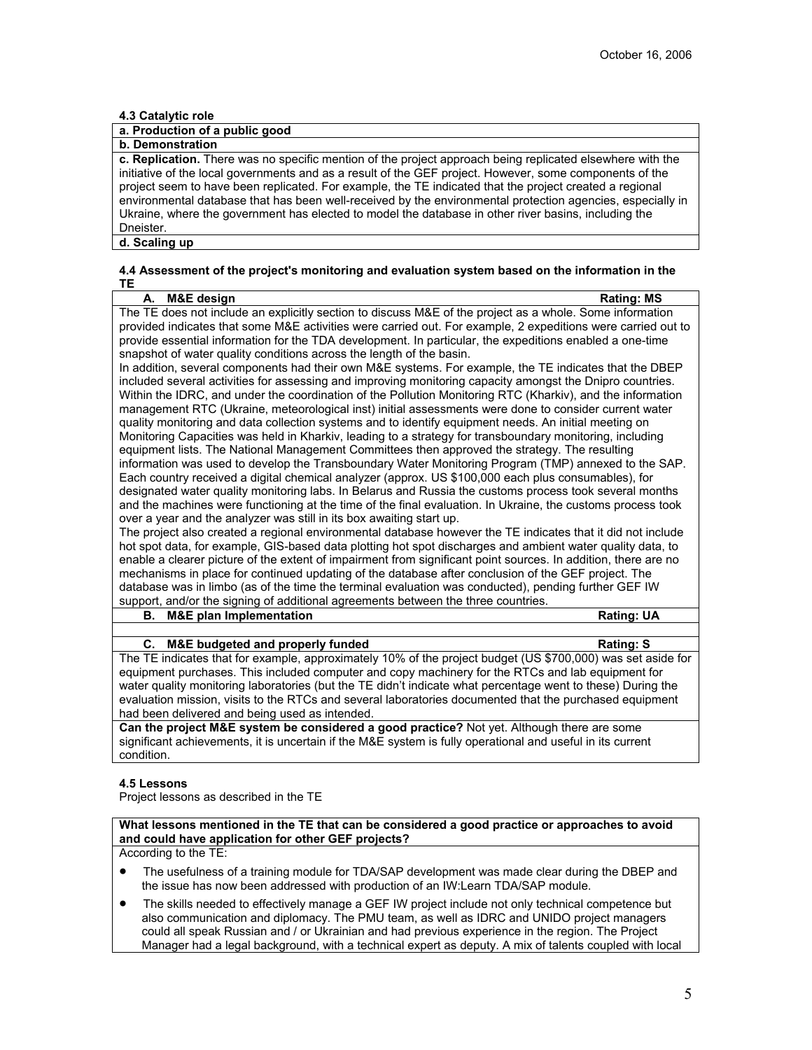### **4.3 Catalytic role**

# **a. Production of a public good**

**b. Demonstration** 

**c. Replication.** There was no specific mention of the project approach being replicated elsewhere with the initiative of the local governments and as a result of the GEF project. However, some components of the project seem to have been replicated. For example, the TE indicated that the project created a regional environmental database that has been well-received by the environmental protection agencies, especially in Ukraine, where the government has elected to model the database in other river basins, including the Dneister.

**d. Scaling up**

### **4.4 Assessment of the project's monitoring and evaluation system based on the information in the TE**

| M&E design<br>А.                                                                                               | <b>Rating: MS</b> |
|----------------------------------------------------------------------------------------------------------------|-------------------|
| The TE does not include an explicitly section to discuss M&E of the project as a whole. Some information       |                   |
| provided indicates that some M&E activities were carried out. For example, 2 expeditions were carried out to   |                   |
| provide essential information for the TDA development. In particular, the expeditions enabled a one-time       |                   |
| snapshot of water quality conditions across the length of the basin.                                           |                   |
| In addition, several components had their own M&E systems. For example, the TE indicates that the DBEP         |                   |
| included several activities for assessing and improving monitoring capacity amongst the Dnipro countries.      |                   |
| Within the IDRC, and under the coordination of the Pollution Monitoring RTC (Kharkiv), and the information     |                   |
| management RTC (Ukraine, meteorological inst) initial assessments were done to consider current water          |                   |
| quality monitoring and data collection systems and to identify equipment needs. An initial meeting on          |                   |
| Monitoring Capacities was held in Kharkiv, leading to a strategy for transboundary monitoring, including       |                   |
| equipment lists. The National Management Committees then approved the strategy. The resulting                  |                   |
| information was used to develop the Transboundary Water Monitoring Program (TMP) annexed to the SAP.           |                   |
| Each country received a digital chemical analyzer (approx. US \$100,000 each plus consumables), for            |                   |
| designated water quality monitoring labs. In Belarus and Russia the customs process took several months        |                   |
| and the machines were functioning at the time of the final evaluation. In Ukraine, the customs process took    |                   |
| over a year and the analyzer was still in its box awaiting start up.                                           |                   |
| The project also created a regional environmental database however the TE indicates that it did not include    |                   |
| hot spot data, for example, GIS-based data plotting hot spot discharges and ambient water quality data, to     |                   |
| enable a clearer picture of the extent of impairment from significant point sources. In addition, there are no |                   |
| mechanisms in place for continued updating of the database after conclusion of the GEF project. The            |                   |
| database was in limbo (as of the time the terminal evaluation was conducted), pending further GEF IW           |                   |
| support, and/or the signing of additional agreements between the three countries.                              |                   |
| <b>M&amp;E plan Implementation</b><br>В.                                                                       | <b>Rating: UA</b> |
|                                                                                                                |                   |
| C.<br>M&E budgeted and properly funded                                                                         | <b>Rating: S</b>  |
| The TE indicates that for example, approximately 10% of the project budget (US \$700,000) was set aside for    |                   |
| equipment purchases. This included computer and copy machinery for the RTCs and lab equipment for              |                   |

equipment purchases. This included computer and copy machinery for the RTCs and lab equipment for water quality monitoring laboratories (but the TE didn't indicate what percentage went to these) During the evaluation mission, visits to the RTCs and several laboratories documented that the purchased equipment had been delivered and being used as intended.

**Can the project M&E system be considered a good practice?** Not yet. Although there are some significant achievements, it is uncertain if the M&E system is fully operational and useful in its current condition.

### **4.5 Lessons**

Project lessons as described in the TE

**What lessons mentioned in the TE that can be considered a good practice or approaches to avoid and could have application for other GEF projects?**

According to the TE:

- The usefulness of a training module for TDA/SAP development was made clear during the DBEP and the issue has now been addressed with production of an IW:Learn TDA/SAP module.
- The skills needed to effectively manage a GEF IW project include not only technical competence but also communication and diplomacy. The PMU team, as well as IDRC and UNIDO project managers could all speak Russian and / or Ukrainian and had previous experience in the region. The Project Manager had a legal background, with a technical expert as deputy. A mix of talents coupled with local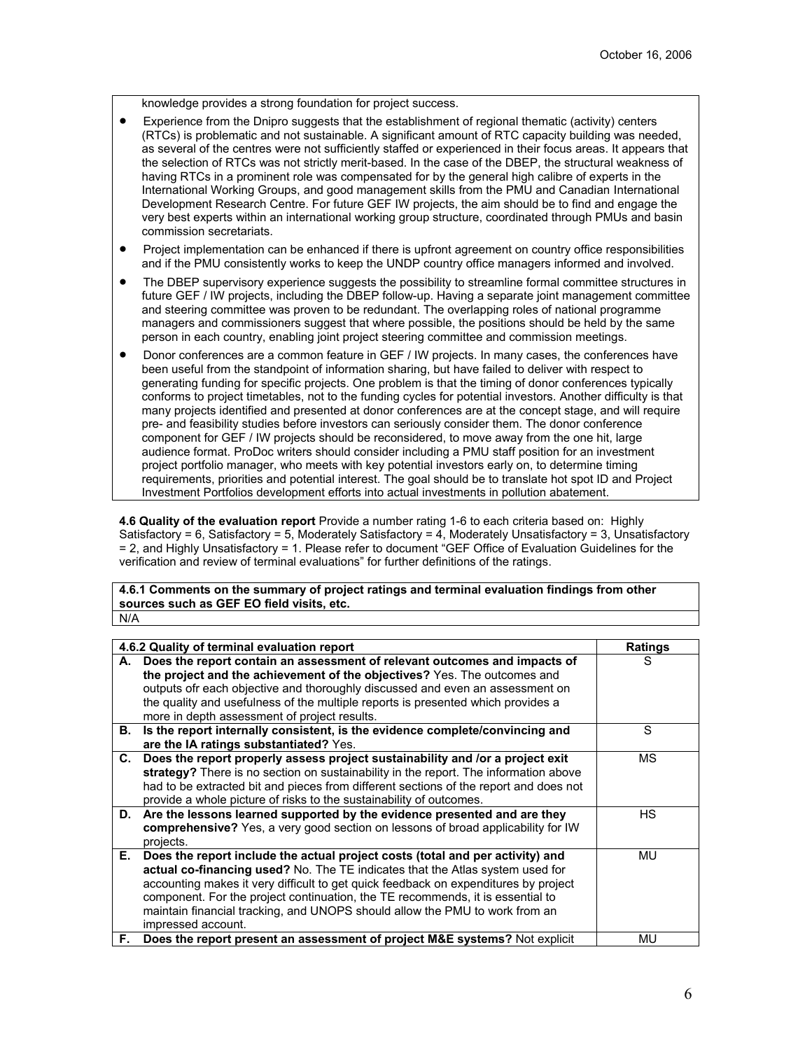knowledge provides a strong foundation for project success.

- Experience from the Dnipro suggests that the establishment of regional thematic (activity) centers (RTCs) is problematic and not sustainable. A significant amount of RTC capacity building was needed, as several of the centres were not sufficiently staffed or experienced in their focus areas. It appears that the selection of RTCs was not strictly merit-based. In the case of the DBEP, the structural weakness of having RTCs in a prominent role was compensated for by the general high calibre of experts in the International Working Groups, and good management skills from the PMU and Canadian International Development Research Centre. For future GEF IW projects, the aim should be to find and engage the very best experts within an international working group structure, coordinated through PMUs and basin commission secretariats.
- Project implementation can be enhanced if there is upfront agreement on country office responsibilities and if the PMU consistently works to keep the UNDP country office managers informed and involved.
- The DBEP supervisory experience suggests the possibility to streamline formal committee structures in future GEF / IW projects, including the DBEP follow-up. Having a separate joint management committee and steering committee was proven to be redundant. The overlapping roles of national programme managers and commissioners suggest that where possible, the positions should be held by the same person in each country, enabling joint project steering committee and commission meetings.
- Donor conferences are a common feature in GEF / IW projects. In many cases, the conferences have been useful from the standpoint of information sharing, but have failed to deliver with respect to generating funding for specific projects. One problem is that the timing of donor conferences typically conforms to project timetables, not to the funding cycles for potential investors. Another difficulty is that many projects identified and presented at donor conferences are at the concept stage, and will require pre- and feasibility studies before investors can seriously consider them. The donor conference component for GEF / IW projects should be reconsidered, to move away from the one hit, large audience format. ProDoc writers should consider including a PMU staff position for an investment project portfolio manager, who meets with key potential investors early on, to determine timing requirements, priorities and potential interest. The goal should be to translate hot spot ID and Project Investment Portfolios development efforts into actual investments in pollution abatement.

**4.6 Quality of the evaluation report** Provide a number rating 1-6 to each criteria based on: Highly Satisfactory = 6, Satisfactory = 5, Moderately Satisfactory = 4, Moderately Unsatisfactory = 3, Unsatisfactory = 2, and Highly Unsatisfactory = 1. Please refer to document "GEF Office of Evaluation Guidelines for the verification and review of terminal evaluations" for further definitions of the ratings.

**4.6.1 Comments on the summary of project ratings and terminal evaluation findings from other sources such as GEF EO field visits, etc.** N/A

|     | 4.6.2 Quality of terminal evaluation report                                                                                                                                                                                                                                                                                                                                                                                                  | Ratings |
|-----|----------------------------------------------------------------------------------------------------------------------------------------------------------------------------------------------------------------------------------------------------------------------------------------------------------------------------------------------------------------------------------------------------------------------------------------------|---------|
| А.  | Does the report contain an assessment of relevant outcomes and impacts of<br>the project and the achievement of the objectives? Yes. The outcomes and<br>outputs ofr each objective and thoroughly discussed and even an assessment on<br>the quality and usefulness of the multiple reports is presented which provides a                                                                                                                   | S       |
|     | more in depth assessment of project results.                                                                                                                                                                                                                                                                                                                                                                                                 | S       |
| В.  | Is the report internally consistent, is the evidence complete/convincing and                                                                                                                                                                                                                                                                                                                                                                 |         |
|     | are the IA ratings substantiated? Yes.                                                                                                                                                                                                                                                                                                                                                                                                       |         |
|     | C. Does the report properly assess project sustainability and /or a project exit<br>strategy? There is no section on sustainability in the report. The information above<br>had to be extracted bit and pieces from different sections of the report and does not<br>provide a whole picture of risks to the sustainability of outcomes.                                                                                                     | МS      |
| D.  | Are the lessons learned supported by the evidence presented and are they<br>comprehensive? Yes, a very good section on lessons of broad applicability for IW<br>projects.                                                                                                                                                                                                                                                                    | НS      |
| Е.  | Does the report include the actual project costs (total and per activity) and<br>actual co-financing used? No. The TE indicates that the Atlas system used for<br>accounting makes it very difficult to get quick feedback on expenditures by project<br>component. For the project continuation, the TE recommends, it is essential to<br>maintain financial tracking, and UNOPS should allow the PMU to work from an<br>impressed account. | MU      |
| F., | Does the report present an assessment of project M&E systems? Not explicit                                                                                                                                                                                                                                                                                                                                                                   | MU      |